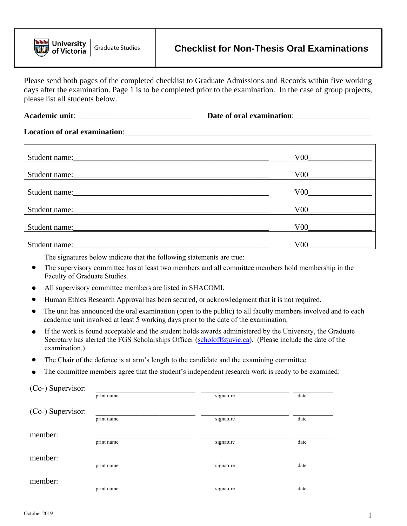

Please send both pages of the completed checklist to Graduate Admissions and Records within five working days after the examination. Page 1 is to be completed prior to the examination. In the case of group projects, please list all students below.

**Academic unit**: \_\_\_\_\_\_\_\_\_\_\_\_\_\_\_\_\_\_\_\_\_\_\_\_\_\_\_\_ **Date of oral examination**:\_\_\_\_\_\_\_\_\_\_\_\_\_\_\_\_\_\_\_

## **Location of oral examination:**

| Student name:                                                                                                                           | V00             |
|-----------------------------------------------------------------------------------------------------------------------------------------|-----------------|
| Student name:                                                                                                                           | V00             |
| Student name:                                                                                                                           | V00             |
| Student name:                                                                                                                           | V00             |
|                                                                                                                                         | V00             |
| Student name:<br><u> 1980 - Jan Barbara, mandalar personal dan berasal dan berasal dan berasal dalam berasal dan berasal dan berasa</u> | V <sub>00</sub> |

The signatures below indicate that the following statements are true:

- The supervisory committee has at least two members and all committee members hold membership in the Faculty of Graduate Studies.
- All supervisory committee members are listed in SHACOMI.
- Human Ethics Research Approval has been secured, or acknowledgment that it is not required.
- $\bullet$ The unit has announced the oral examination (open to the public) to all faculty members involved and to each academic unit involved at least 5 working days prior to the date of the examination.
- $\bullet$ If the work is found acceptable and the student holds awards administered by the University, the Graduate Secretary has alerted the FGS Scholarships Officer ([scholoff@uvic.ca\). \(Pl](mailto:scholoff@uvic.ca)ease include the date of the examination.)
- The Chair of the defence is at arm's length to the candidate and the examining committee.
- The committee members agree that the student's independent research work is ready to be examined:

| (Co-) Supervisor: |            |           |      |
|-------------------|------------|-----------|------|
|                   | print name | signature | date |
| (Co-) Supervisor: |            |           |      |
|                   | print name | signature | date |
| member:           |            |           |      |
|                   | print name | signature | date |
| member:           |            |           |      |
|                   | print name | signature | date |
| member:           |            |           |      |
|                   | print name | signature | date |